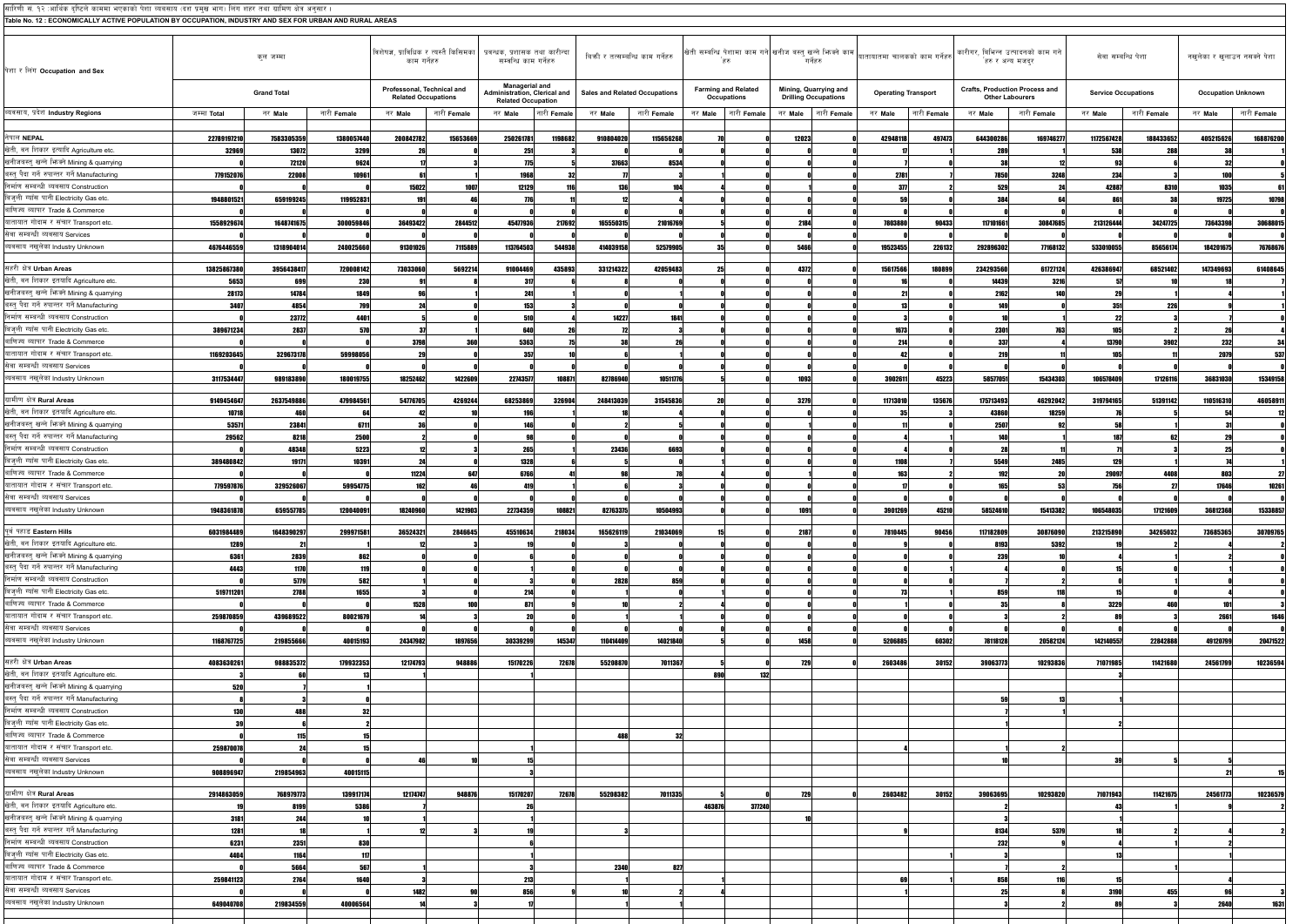| सारिणी सं. १२ :आर्थिक दृष्टिले काममा भएकाको पेशा व्यवसाय (दश प्रमुख भाग) लिंग शहर तथा ग्रामिण क्षेत्र अनुसार<br>Table No. 12 : ECONOMICALLY ACTIVE POPULATION BY OCCUPATION, INDUSTRY AND SEX FOR URBAN AND RURAL AREAS |                    |                    |                    |                                                                                        |                    |                                                                             |             |           |                                      |                                           |         |                                                      |                            |             |                                                                                                                                                                          |                                                                 |                            |             |                              |                           |
|-------------------------------------------------------------------------------------------------------------------------------------------------------------------------------------------------------------------------|--------------------|--------------------|--------------------|----------------------------------------------------------------------------------------|--------------------|-----------------------------------------------------------------------------|-------------|-----------|--------------------------------------|-------------------------------------------|---------|------------------------------------------------------|----------------------------|-------------|--------------------------------------------------------------------------------------------------------------------------------------------------------------------------|-----------------------------------------------------------------|----------------------------|-------------|------------------------------|---------------------------|
| पेशा र लिंग Occupation and Sex                                                                                                                                                                                          |                    | कुल जम्मा          |                    | विशेषज्ञ, प्राविधिक र त्यस्तै किसिमका   प्रवन्धक, प्रशासक तथा कारीन्दा<br>काम गर्नेहरु |                    | सम्बन्धि काम गर्नेहरु                                                       |             |           | बिकी र तत्सम्बन्धि काम गर्नेहरु      | `हरु                                      |         | गर्नेहरु                                             |                            |             | खेती सम्बन्धि पेशामा काम गने खनीज बस्तु खन्ने भिन्नने काम $\Bigg $ यातायातमा चालकको काम गर्नेहरु $\Bigg $ कारीगर, बिभिन्न उत्पादनको काम गने $\Bigg $<br>हरु र अन्य मजदुर |                                                                 | सेवा सम्बन्धि पेशा         |             | नखुलेका र खुलाउन नसक्ने पेशा |                           |
|                                                                                                                                                                                                                         |                    | <b>Grand Total</b> |                    | Professonal, Technical and<br><b>Related Occupations</b>                               |                    | Managerial and<br>Administration, Clerical and<br><b>Related Occupation</b> |             |           | <b>Sales and Related Occupations</b> | <b>Farming and Related</b><br>Occupations |         | Mining, Quarrying and<br><b>Drilling Occupations</b> | <b>Operating Transport</b> |             |                                                                                                                                                                          | <b>Crafts, Production Process and</b><br><b>Other Labourers</b> | <b>Service Occupations</b> |             |                              | <b>Occupation Unknown</b> |
| ब्यवसाय, प्रदेश Industry Regions                                                                                                                                                                                        | जम्मा Total        | नर Male            | नारी <b>Female</b> | नर Male                                                                                | नारी <b>Female</b> | नर Male                                                                     | नारी Female | नर Male   | नारी Female                          | नारी <b>Female</b><br>नर Male             | नर Male | नारी Female                                          | नर Male                    | नारी Female | नर Male                                                                                                                                                                  | नारी Female                                                     | नर Male                    | नारी Female | नर Male                      | नारी Female               |
| नेपाल NEPAL                                                                                                                                                                                                             | 22789197210        | 7583305359         | 1380057440         | 200842782                                                                              | 15653669           | 250261781                                                                   | 1198682     | 910804020 | 115656268                            |                                           | 12023   |                                                      | 42948118                   | 497473      | 644300286                                                                                                                                                                | 169746277                                                       | 1172567428                 | 188433652   | 405215626                    | 168876200                 |
| खेती, वन शिकार इत्यादि Agriculture etc.                                                                                                                                                                                 | 32969              | 13072              | 3299               |                                                                                        |                    | 251                                                                         |             |           |                                      |                                           |         |                                                      |                            |             | 28                                                                                                                                                                       |                                                                 | 538                        | 288         |                              |                           |
| खनीजबस्त् खन्ने भिष्मे Mining & quarrying                                                                                                                                                                               |                    | 72120              | 9624               |                                                                                        |                    | 775                                                                         |             | 37663     | 8534                                 |                                           |         |                                                      |                            |             |                                                                                                                                                                          |                                                                 |                            |             |                              |                           |
| बस्तु पैदा गर्ने रुपान्तर गर्ने Manufacturing                                                                                                                                                                           | 779152076          | 22008              | 10961              |                                                                                        |                    | 1968                                                                        |             |           |                                      |                                           |         |                                                      | 2781                       |             | 7850                                                                                                                                                                     | 3248                                                            | 234                        |             |                              |                           |
| निर्माण सम्बन्धी ब्यवसाय Construction                                                                                                                                                                                   |                    |                    |                    | 15022                                                                                  | 1007               | 12129                                                                       |             |           | 104                                  |                                           |         |                                                      | 377                        |             | 529                                                                                                                                                                      |                                                                 | 42887                      | 8310        | 1035                         |                           |
| बिज्ली ग्याँस पानी Electricity Gas etc.<br>बाणिज्य ब्यापार Trade & Commerce                                                                                                                                             | 1948801521         | 659199245          | 119952831          | 191                                                                                    |                    | 776                                                                         |             |           |                                      |                                           |         |                                                      |                            |             | 384                                                                                                                                                                      |                                                                 | 86                         |             | 19725                        | 10798                     |
| यातायात गोदाम र संचार Transport etc.                                                                                                                                                                                    | 1558929674         | 1648741675         | 300059846          | 36493422                                                                               | 2844512            | 45477936                                                                    | 21769       | 165550315 | 21016769                             |                                           | 2184    |                                                      | 7803880                    | 90433       | 117101661                                                                                                                                                                | 30847685                                                        | 213126444                  | 34247725    | 73643398                     | 3068801                   |
| सेवा सम्बन्धी ब्यवसाय Services                                                                                                                                                                                          |                    |                    |                    |                                                                                        |                    |                                                                             |             |           |                                      |                                           |         |                                                      |                            |             |                                                                                                                                                                          |                                                                 |                            |             |                              |                           |
| ब्यवसाय नखलेका Industry Unknown                                                                                                                                                                                         | 4676446559         | 1318904014         | 240025660          | 91301026                                                                               | 7115889            | 113764503                                                                   | 544938      | 414039158 | 52579905                             |                                           | 5466    |                                                      | 19523455                   | 226132      | 292896302                                                                                                                                                                | 77168132                                                        | 533010055                  | 85656174    | 184201675                    | 76768676                  |
| सहरी क्षेत्र Urban Areas                                                                                                                                                                                                | 13825867380        | 3956438417         | 720008142          | 73033060                                                                               | 5692214            | 91004469                                                                    | 43589       | 331214322 | 42059483                             |                                           | 4372    |                                                      | 15617566                   | 180899      | 234293560                                                                                                                                                                | 61727124                                                        | 42638694                   | 68521402    | 14734969                     | 61408645                  |
| खेती, वन शिकार इतयादि Agriculture etc.                                                                                                                                                                                  | 5653               | 699                | 230                |                                                                                        |                    | 317                                                                         |             |           |                                      |                                           |         |                                                      |                            |             | 14439                                                                                                                                                                    | 3216                                                            |                            |             |                              |                           |
| खनीजबस्तु खन्ने भिज्क्ने Mining & quarrying                                                                                                                                                                             | 28173              | 14784              | 1849               |                                                                                        |                    | 241                                                                         |             |           |                                      |                                           |         |                                                      |                            |             | 2162                                                                                                                                                                     | 140                                                             |                            |             |                              |                           |
| बस्त् पैदा गर्ने रुपान्तर गर्ने Manufacturing                                                                                                                                                                           | 3407               | 4854               | 799                |                                                                                        |                    | 153                                                                         |             |           |                                      |                                           |         |                                                      |                            |             | 149                                                                                                                                                                      |                                                                 | -35                        | 226         |                              |                           |
| निर्माण सम्बन्धी ब्यवसाय Construction<br>बिजुली ग्याँस पानी Electricity Gas etc.                                                                                                                                        |                    | 23772<br>2837      | 4401<br>570        |                                                                                        |                    | 510<br>640                                                                  |             | 14227     | 1841                                 |                                           |         |                                                      | 1673                       |             | 2301                                                                                                                                                                     | 763                                                             |                            |             |                              |                           |
| बाणिज्य ब्यापार Trade & Commerce                                                                                                                                                                                        | 389671234          |                    |                    | 3798                                                                                   |                    | 5363                                                                        |             |           |                                      |                                           |         |                                                      | 214                        |             | 337                                                                                                                                                                      |                                                                 | 13790                      | 3902        | 232                          |                           |
| यातायात गोदाम र संचार Transport etc.                                                                                                                                                                                    | 1169203645         | 329673178          | 59998056           |                                                                                        |                    | 357                                                                         |             |           |                                      |                                           |         |                                                      |                            |             |                                                                                                                                                                          |                                                                 |                            |             | 207                          | 53                        |
| सेवा सम्बन्धी ब्यवसाय Services                                                                                                                                                                                          |                    |                    |                    |                                                                                        |                    |                                                                             |             |           |                                      |                                           |         |                                                      |                            |             |                                                                                                                                                                          |                                                                 |                            |             |                              |                           |
| ब्यवसाय नखुलेका Industry Unknown                                                                                                                                                                                        | 3117534447         | 989183890          | 180019755          | 18252462                                                                               | 1422609            | 22743577                                                                    | 108871      | 82786940  | 10511776                             |                                           | 1093    |                                                      | 3902611                    | 45223       | 58577051                                                                                                                                                                 | 15434303                                                        | 106578409                  | 17126116    | 36831030                     | 15349158                  |
| ग्रामीण क्षेत्र Rural Areas                                                                                                                                                                                             | 9149454647         | 2637549886         | 479984561          | 54776705                                                                               | 4269244            | 68253869                                                                    | 32690       | 248413039 | 31545836                             |                                           | 3279    |                                                      | 11713010                   | 135676      | 175713493                                                                                                                                                                | 46292042                                                        | 319794165                  | 51391142    | 11051631                     | 4605891                   |
| खेती, वन शिकार इतयादि Agriculture etc.                                                                                                                                                                                  | 10718              | 461                |                    |                                                                                        |                    |                                                                             |             |           |                                      |                                           |         |                                                      |                            |             | 43860                                                                                                                                                                    | 18259                                                           |                            |             |                              |                           |
| खनीजबस्तु खन्ने भिज्म <u>्ने Mining &amp; quarrying</u>                                                                                                                                                                 | 53571              | 23841              | 6711               |                                                                                        |                    | 146                                                                         |             |           |                                      |                                           |         |                                                      |                            |             | 2507                                                                                                                                                                     |                                                                 |                            |             |                              |                           |
| बस्त् पैदा गर्ने रुपान्तर गर्ने Manufacturing<br>निर्माण सम्बन्धी ब्यवसाय Construction                                                                                                                                  | 29562              | 8218<br>48348      | 2500<br>5223       | 12                                                                                     |                    | 265                                                                         |             | 23436     | 6693                                 |                                           |         |                                                      |                            |             | 140                                                                                                                                                                      |                                                                 | 187                        |             |                              |                           |
| बिजुली ग्याँस पानी Electricity Gas etc.                                                                                                                                                                                 | 389480842          | 19171              | 10391              |                                                                                        |                    | 1328                                                                        |             |           |                                      |                                           |         |                                                      | 1108                       |             | 5549                                                                                                                                                                     | 2485                                                            | -129                       |             |                              |                           |
| बाणिज्य ब्यापार Trade & Commerce                                                                                                                                                                                        |                    |                    |                    | 11224                                                                                  |                    | 6766                                                                        |             |           |                                      |                                           |         |                                                      | 163                        |             | 192                                                                                                                                                                      |                                                                 | 29097                      | 4408        |                              |                           |
| यातायात गोदाम र संचार Transport etc.                                                                                                                                                                                    | 779597876          | 329526067          | 59954775           | 162                                                                                    |                    | 419                                                                         |             |           |                                      |                                           |         |                                                      |                            |             | 165                                                                                                                                                                      | 53                                                              |                            |             | 17646                        | 10261                     |
| सेवा सम्बन्धी ब्यवसाय Services<br>ब्यवसाय नखलेका Industry Unknown                                                                                                                                                       | 1948361878         | 659557785          | 120040091          | 18240960                                                                               | 1421903            | 22734359                                                                    | 108821      | 82763375  | 10504993                             |                                           | 1091    |                                                      | 3901269                    | 45210       | 58524610                                                                                                                                                                 | 15413382                                                        | 106548035                  | 17121609    | 36812368                     | 15338857                  |
|                                                                                                                                                                                                                         |                    |                    |                    |                                                                                        |                    |                                                                             |             |           |                                      |                                           |         |                                                      |                            |             |                                                                                                                                                                          |                                                                 |                            |             |                              |                           |
| पूर्व पहाड Eastern Hills<br>खेती, वन शिकार इतयादि Agriculture etc.                                                                                                                                                      | 6031984489<br>1289 | 1648390297<br>-21  | 299971581          | 36524321                                                                               | 2846645            | 45510634                                                                    | 218034      | 165626119 | 21034069                             |                                           | 2187    |                                                      | 7810445                    | 90456       | 117182809<br>8193                                                                                                                                                        | 30876090<br>5392                                                | 213215890                  | 34265032    | 73685365                     | 30709765                  |
| खनीजबस्त् खन्ने भिज्म्ने Mining & quarrying                                                                                                                                                                             | 6361               | 2839               | 862                |                                                                                        |                    |                                                                             |             |           |                                      |                                           |         |                                                      |                            |             | 239                                                                                                                                                                      |                                                                 |                            |             |                              |                           |
| बस्त पैदा गर्ने रुपान्तर गर्ने Manufacturing                                                                                                                                                                            | 4443               | 1170               | 119                |                                                                                        |                    |                                                                             |             |           |                                      |                                           |         |                                                      |                            |             |                                                                                                                                                                          |                                                                 |                            |             |                              |                           |
| निर्माण सम्बन्धी ब्यवसाय Construction                                                                                                                                                                                   |                    | 5779               | 582                |                                                                                        |                    |                                                                             |             | 2828      | 859                                  |                                           |         |                                                      |                            |             |                                                                                                                                                                          |                                                                 |                            |             |                              |                           |
| बिजुली ग्याँस पानी Electricity Gas etc.                                                                                                                                                                                 | 519711201          | 2788               | 1655               |                                                                                        |                    | 214                                                                         |             |           |                                      |                                           |         |                                                      |                            |             | 859                                                                                                                                                                      |                                                                 |                            |             |                              |                           |
| बाणिज्य ब्यापार Trade & Commerce<br>यातायात गोदाम र संचार Transport etc.                                                                                                                                                | 259870859          | 439689522          | 80021679           | 1528                                                                                   |                    | 871<br>20                                                                   |             |           |                                      |                                           |         |                                                      |                            |             |                                                                                                                                                                          |                                                                 | 3229                       |             | 2661                         | 1646                      |
| सेवा सम्बन्धी ब्यवसाय Services                                                                                                                                                                                          |                    |                    |                    |                                                                                        |                    |                                                                             |             |           |                                      |                                           |         |                                                      |                            |             |                                                                                                                                                                          |                                                                 |                            |             |                              |                           |
| ब्यवसाय नखलेका Industry Unknown                                                                                                                                                                                         | 1168767725         | 219855666          | 40015193           | 24347982                                                                               | 1897656            | 30339299                                                                    | 145347      | 110414409 | 14021840                             |                                           | 1458    |                                                      | 5206885                    | 60302       | 78118128                                                                                                                                                                 | 20582124                                                        | 142140557                  | 22842888    | 49120799                     | 20471522                  |
| सहरी क्षेत्र Urban Areas                                                                                                                                                                                                | 4083630261         | 988835372          | 179932353          | 12174793                                                                               | 948886             | 15170226                                                                    | 72678       | 55208870  | 7011367                              |                                           | 729     |                                                      | 2603486                    | 30152       | 39063773                                                                                                                                                                 | 10293836                                                        | 71071985                   | 11421680    | 24561799                     | 10236594                  |
| खेती, वन शिकार इतयादि Agriculture etc.                                                                                                                                                                                  |                    |                    |                    |                                                                                        |                    |                                                                             |             |           |                                      | 890                                       | 132     |                                                      |                            |             |                                                                                                                                                                          |                                                                 |                            |             |                              |                           |
| खनीजबस्त् खन्ने भिज्म्ने Mining & quarrying                                                                                                                                                                             | 520                |                    |                    |                                                                                        |                    |                                                                             |             |           |                                      |                                           |         |                                                      |                            |             |                                                                                                                                                                          |                                                                 |                            |             |                              |                           |
| बस्त् पैदा गर्ने रुपान्तर गर्ने Manufacturing                                                                                                                                                                           |                    |                    |                    |                                                                                        |                    |                                                                             |             |           |                                      |                                           |         |                                                      |                            |             |                                                                                                                                                                          |                                                                 |                            |             |                              |                           |
| निर्माण सम्बन्धी ब्यवसाय Construction                                                                                                                                                                                   | 130                | 488                |                    |                                                                                        |                    |                                                                             |             |           |                                      |                                           |         |                                                      |                            |             |                                                                                                                                                                          |                                                                 |                            |             |                              |                           |
| बिजुली ग्याँस पानी Electricity Gas etc.<br>बाणिज्य ब्यापार Trade & Commerce                                                                                                                                             |                    | 115                |                    |                                                                                        |                    |                                                                             |             | 488       | 32                                   |                                           |         |                                                      |                            |             |                                                                                                                                                                          |                                                                 |                            |             |                              |                           |
| यातायात गोदाम र संचार Transport etc.                                                                                                                                                                                    | 259870078          |                    |                    |                                                                                        |                    |                                                                             |             |           |                                      |                                           |         |                                                      |                            |             |                                                                                                                                                                          |                                                                 |                            |             |                              |                           |
| सेवा सम्बन्धी ब्यवसाय Services                                                                                                                                                                                          |                    |                    |                    |                                                                                        |                    |                                                                             |             |           |                                      |                                           |         |                                                      |                            |             |                                                                                                                                                                          |                                                                 |                            |             |                              |                           |
| ब्यवसाय नखुलेका Industry Unknown                                                                                                                                                                                        | 908896947          | 219854963          | 40015115           |                                                                                        |                    |                                                                             |             |           |                                      |                                           |         |                                                      |                            |             |                                                                                                                                                                          |                                                                 |                            |             |                              |                           |
| ग्रामीण क्षेत्र Rural Areas                                                                                                                                                                                             | 2914863059         | 768979773          | 139917174          | 12174747                                                                               | 948876             | 15170207                                                                    | 72678       | 55208382  | 7011335                              |                                           | 729     |                                                      | 2603482                    | 30152       | 39063695                                                                                                                                                                 | 10293820                                                        | 71071943                   | 11421675    | 24561773                     | 10236579                  |
| खेती, वन शिकार इतयादि Agriculture etc.                                                                                                                                                                                  |                    | 8199               | 5386               |                                                                                        |                    |                                                                             |             |           |                                      | 463876<br>377240                          |         |                                                      |                            |             |                                                                                                                                                                          |                                                                 |                            |             |                              |                           |
| खनीजबस्त् खन्ने भिज्म्ने Mining & quarrying                                                                                                                                                                             | 3181               | 244                |                    |                                                                                        |                    |                                                                             |             |           |                                      |                                           |         |                                                      |                            |             |                                                                                                                                                                          |                                                                 |                            |             |                              |                           |
| बस्त् पैदा गर्ने रुपान्तर गर्ने Manufacturing                                                                                                                                                                           | 1281               |                    |                    |                                                                                        |                    |                                                                             |             |           |                                      |                                           |         |                                                      |                            |             | 8134                                                                                                                                                                     | 5379                                                            |                            |             |                              |                           |
| निर्माण सम्बन्धी ब्यवसाय Construction                                                                                                                                                                                   | 6231               | 2351               | 830                |                                                                                        |                    |                                                                             |             |           |                                      |                                           |         |                                                      |                            |             | 232                                                                                                                                                                      |                                                                 |                            |             |                              |                           |
| बिजली ग्याँस पानी Electricity Gas etc.                                                                                                                                                                                  | 4404               | 1164               | 117                |                                                                                        |                    |                                                                             |             |           |                                      |                                           |         |                                                      |                            |             |                                                                                                                                                                          |                                                                 |                            |             |                              |                           |
| बाणिज्य ब्यापार Trade & Commerce<br>यातायात गोदाम र संचार Transport etc.                                                                                                                                                | 259841123          | 5664<br>2764       | 567<br>1640        |                                                                                        |                    | 213                                                                         |             | 2340      | 827                                  |                                           |         |                                                      |                            |             | 858                                                                                                                                                                      |                                                                 |                            |             |                              |                           |
| सेवा सम्बन्धी ब्यवसाय Services                                                                                                                                                                                          |                    |                    |                    | 1482                                                                                   |                    | 856                                                                         |             |           |                                      |                                           |         |                                                      |                            |             | 25                                                                                                                                                                       |                                                                 | 3190                       | 455         |                              |                           |
| ब्यवसाय नखलेका Industry Unknown                                                                                                                                                                                         | 649040708          | 219834559          | 40006564           |                                                                                        |                    |                                                                             |             |           |                                      |                                           |         |                                                      |                            |             |                                                                                                                                                                          |                                                                 |                            |             | 2640                         | 1631                      |
|                                                                                                                                                                                                                         |                    |                    |                    |                                                                                        |                    |                                                                             |             |           |                                      |                                           |         |                                                      |                            |             |                                                                                                                                                                          |                                                                 |                            |             |                              |                           |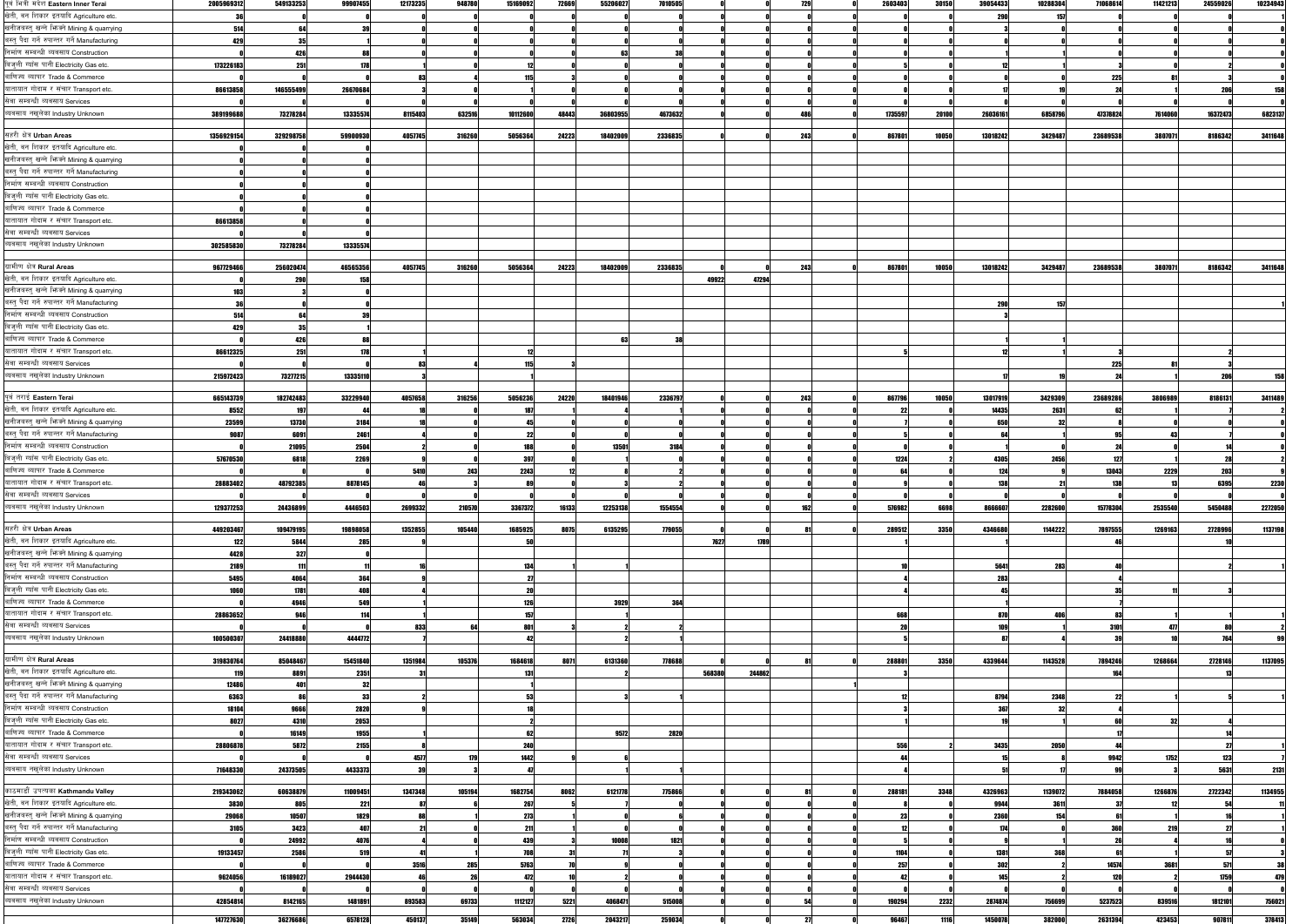|                                                                                                                                       | TOOD 30 30 IL | <b>079100200</b> |           |         | <b>12110200</b> | <b>IDIOJUJZ</b> | ,,,,,, | <b>OOLOUULI</b> |         |        |        |     |         |       |          |         |          |         |          |                  |
|---------------------------------------------------------------------------------------------------------------------------------------|---------------|------------------|-----------|---------|-----------------|-----------------|--------|-----------------|---------|--------|--------|-----|---------|-------|----------|---------|----------|---------|----------|------------------|
| खेती, वन शिकार इतयादि Agriculture etc.                                                                                                | 36            |                  |           |         |                 |                 |        |                 |         |        |        |     |         |       | 290      | 157     |          |         |          |                  |
| खनीजबस्तु खन्ने भिष्क्ने Mining & quarrying                                                                                           |               |                  |           |         |                 |                 |        |                 |         |        |        |     |         |       |          |         |          |         |          |                  |
|                                                                                                                                       | 514           |                  |           |         |                 |                 |        |                 |         |        |        |     |         |       |          |         |          |         |          |                  |
| बस्त् पैदा गर्ने रुपान्तर गर्ने Manufacturing                                                                                         | 429           | 35               |           |         |                 |                 |        |                 |         |        |        |     |         |       |          |         |          |         |          |                  |
| निर्माण सम्बन्धी ब्यवसाय Construction                                                                                                 |               | 426              | <b>RR</b> |         |                 |                 |        | 63              |         |        |        |     |         |       |          |         |          |         |          |                  |
| बिजली ग्याँस पानी Electricity Gas etc.                                                                                                | 173226183     | 251              | 178       |         |                 |                 |        |                 |         |        |        |     |         |       |          |         |          |         |          |                  |
| बाणिज्य ब्यापार Trade & Commerce                                                                                                      |               |                  |           |         |                 |                 |        |                 |         |        |        |     |         |       |          |         |          |         |          |                  |
|                                                                                                                                       |               |                  |           |         |                 |                 |        |                 |         |        |        |     |         |       |          |         | 225      |         |          |                  |
| यातायात गोदाम र संचार Transport etc.                                                                                                  | 86613858      | 146555499        | 26670684  |         |                 |                 |        |                 |         |        |        |     |         |       |          |         |          |         |          | 158              |
| सेवा सम्बन्धी ब्यवसाय Services                                                                                                        |               |                  |           |         |                 |                 |        |                 |         |        |        |     |         |       |          |         |          |         |          |                  |
| ब्यवसाय नखलेका Industry Unknown                                                                                                       | 389199688     | 73278284         | 13335574  | 8115403 | 632516          | 10112600        | 48443  | 36803955        | 4673632 |        |        | 486 | 1735597 | 20100 | 26036161 | 6858796 | 47378824 | 7614060 | 16372473 | 6823137          |
|                                                                                                                                       |               |                  |           |         |                 |                 |        |                 |         |        |        |     |         |       |          |         |          |         |          |                  |
|                                                                                                                                       |               |                  |           |         |                 |                 |        |                 |         |        |        |     |         |       |          |         |          |         |          |                  |
| सहरी क्षेत्र Urban Areas                                                                                                              | 1356929154    | 329298758        | 59900930  | 4057745 | 316260          | 5056364         | 24223  | 18402009        | 2336835 |        |        | 243 | 867801  | 10050 | 13018242 | 3429487 | 23689538 | 3807071 | 8186342  | 3411648          |
| खेती, वन शिकार इतयादि Agriculture etc.                                                                                                |               |                  |           |         |                 |                 |        |                 |         |        |        |     |         |       |          |         |          |         |          |                  |
| खनीजबस्तु खन्ने भिष्क्ने Mining & quarrying                                                                                           |               |                  |           |         |                 |                 |        |                 |         |        |        |     |         |       |          |         |          |         |          |                  |
| बस्त् पैदा गर्ने रुपान्तर गर्ने Manufacturing                                                                                         |               |                  |           |         |                 |                 |        |                 |         |        |        |     |         |       |          |         |          |         |          |                  |
|                                                                                                                                       |               |                  |           |         |                 |                 |        |                 |         |        |        |     |         |       |          |         |          |         |          |                  |
| निर्माण सम्बन्धी ब्यवसाय Construction                                                                                                 |               |                  |           |         |                 |                 |        |                 |         |        |        |     |         |       |          |         |          |         |          |                  |
| बिज्ली ग्याँस पानी Electricity Gas etc.                                                                                               |               |                  |           |         |                 |                 |        |                 |         |        |        |     |         |       |          |         |          |         |          |                  |
| बाणिज्य ब्यापार Trade & Commerce                                                                                                      |               |                  |           |         |                 |                 |        |                 |         |        |        |     |         |       |          |         |          |         |          |                  |
| यातायात गोदाम र संचार Transport etc.                                                                                                  | 86613858      |                  |           |         |                 |                 |        |                 |         |        |        |     |         |       |          |         |          |         |          |                  |
|                                                                                                                                       |               |                  |           |         |                 |                 |        |                 |         |        |        |     |         |       |          |         |          |         |          |                  |
| सेवा सम्बन्धी ब्यवसाय Services                                                                                                        |               |                  |           |         |                 |                 |        |                 |         |        |        |     |         |       |          |         |          |         |          |                  |
| ब्यवसाय नखुलेका Industry Unknown                                                                                                      | 302585830     | 73278284         | 13335574  |         |                 |                 |        |                 |         |        |        |     |         |       |          |         |          |         |          |                  |
|                                                                                                                                       |               |                  |           |         |                 |                 |        |                 |         |        |        |     |         |       |          |         |          |         |          |                  |
| ग्रामीण क्षेत्र Rural Areas                                                                                                           | 967729466     | 256020474        | 46565356  | 4057745 | 316260          | 5056364         | 24223  | 18402009        | 2336835 |        |        | 243 | 867801  | 10050 | 13018242 | 3429487 | 23689538 | 3807071 | 8186342  | 3411648          |
|                                                                                                                                       |               |                  |           |         |                 |                 |        |                 |         |        |        |     |         |       |          |         |          |         |          |                  |
| खेती, वन शिकार इतयादि Agriculture etc.                                                                                                |               | 290              |           |         |                 |                 |        |                 |         | 49922  | 47294  |     |         |       |          |         |          |         |          |                  |
| खनीजबस्त् खन्ने भिज्म्ने Mining & quarrying                                                                                           | 103           |                  |           |         |                 |                 |        |                 |         |        |        |     |         |       |          |         |          |         |          |                  |
| बस्त् पैदा गर्ने रुपान्तर गर्ने Manufacturing                                                                                         | 36            |                  |           |         |                 |                 |        |                 |         |        |        |     |         |       | 290      | 157     |          |         |          |                  |
| निर्माण सम्बन्धी ब्यवसाय Construction                                                                                                 | 514           |                  |           |         |                 |                 |        |                 |         |        |        |     |         |       |          |         |          |         |          |                  |
|                                                                                                                                       |               |                  |           |         |                 |                 |        |                 |         |        |        |     |         |       |          |         |          |         |          |                  |
| बिजली ग्याँस पानी Electricity Gas etc.                                                                                                | 429           |                  |           |         |                 |                 |        |                 |         |        |        |     |         |       |          |         |          |         |          |                  |
| बाणिज्य ब्यापार Trade & Commerce                                                                                                      |               | 426              | 88        |         |                 |                 |        | 63              |         |        |        |     |         |       |          |         |          |         |          |                  |
| यातायात गोदाम र संचार Transport etc.                                                                                                  | 86612325      | 251              | 178       |         |                 |                 |        |                 |         |        |        |     |         |       |          |         |          |         |          |                  |
| सेवा सम्बन्धी ब्यवसाय Services                                                                                                        |               |                  |           |         |                 | 115             |        |                 |         |        |        |     |         |       |          |         |          |         |          |                  |
|                                                                                                                                       |               |                  |           |         |                 |                 |        |                 |         |        |        |     |         |       |          |         | 225      |         |          |                  |
| ब्यवसाय नखुलेका Industry Unknown                                                                                                      | 215972423     | 73277215         | 13335110  |         |                 |                 |        |                 |         |        |        |     |         |       |          |         |          |         | - 20     | 158              |
|                                                                                                                                       |               |                  |           |         |                 |                 |        |                 |         |        |        |     |         |       |          |         |          |         |          |                  |
| पूर्व तराई Eastern Terai                                                                                                              | 665143739     | 182742483        | 33229940  | 4057658 | 316256          | 5056236         | 24220  | 18401946        | 2336797 |        |        | 243 | 867796  | 10050 | 13017919 | 3429309 | 23689286 | 3806989 | 8186131  | 3411489          |
| खेती, वन शिकार इतयादि Agriculture etc.                                                                                                | 8552          | 197              |           |         |                 | 187             |        |                 |         |        |        |     |         |       | 14435    | 2631    |          |         |          |                  |
|                                                                                                                                       |               |                  |           |         |                 |                 |        |                 |         |        |        |     |         |       |          |         |          |         |          |                  |
| खनीजबस्तु खन्ने भिज्क्ने Mining & quarrying                                                                                           | 23599         | 13730            | 3184      |         |                 | 45              |        |                 |         |        |        |     |         |       | 650      |         |          |         |          |                  |
| बस्त् पैदा गर्ने रुपान्तर गर्ने Manufacturing                                                                                         | 9087          | 6091             | 2461      |         |                 | 22              |        |                 |         |        |        |     |         |       |          |         |          |         |          |                  |
| निर्माण सम्बन्धी ब्यवसाय Construction                                                                                                 |               | 21095            | 2504      |         |                 | 188             |        | 13501           | 3184    |        |        |     |         |       |          |         |          |         |          |                  |
| बिजली ग्याँस पानी Electricity Gas etc.                                                                                                | 57670530      | 6818             | 2269      |         |                 | 397             |        |                 |         |        |        |     | 1224    |       | 4305     | 2456    |          |         |          |                  |
|                                                                                                                                       |               |                  |           |         |                 |                 |        |                 |         |        |        |     |         |       |          |         |          |         |          |                  |
| बाणिज्य ब्यापार Trade & Commerce                                                                                                      |               |                  |           | 5410    |                 | 2243            |        |                 |         |        |        |     |         |       | 124      |         | 13043    | 2229    | 203      |                  |
| यातायात गोदाम र संचार Transport etc.                                                                                                  | 28883402      | 48792385         | 8878145   |         |                 |                 |        |                 |         |        |        |     |         |       | 138      |         |          |         | 6395     | 2230             |
|                                                                                                                                       |               |                  |           |         |                 |                 |        |                 |         |        |        |     |         |       |          |         |          |         |          |                  |
|                                                                                                                                       |               |                  |           |         |                 |                 |        |                 |         |        |        |     |         |       |          |         |          |         |          |                  |
|                                                                                                                                       |               |                  |           |         |                 |                 |        |                 |         |        |        |     |         |       |          |         |          |         |          |                  |
| सेवा सम्बन्धी ब्यवसाय Services<br>ब्यवसाय नखलेका Industry Unknown                                                                     | 129377253     | 24436899         | 4446503   | 2699332 | 210570          | 3367372         | 16133  | 12253138        | 1554554 |        |        |     | 576982  | 6698  | 8666607  | 2282600 | 15778304 | 2535540 | 5450488  | 2272050          |
|                                                                                                                                       |               |                  |           |         |                 |                 |        |                 |         |        |        |     |         |       |          |         |          |         |          |                  |
| सहरी क्षेत्र Urban Areas                                                                                                              | 449203467     | 109479195        | 19898058  | 1352855 | 105440          | 1685925         | 8075   | 6135295         | 779055  |        |        |     | 289512  | 3350  | 4346680  | 1144222 | 7897555  | 1269163 | 2728996  | 1137198          |
| खेती, वन शिकार इतयादि Agriculture etc.                                                                                                | 122           | 5844             | 285       |         |                 | 50              |        |                 |         | 7627   | 1789   |     |         |       |          |         |          |         |          |                  |
|                                                                                                                                       |               |                  |           |         |                 |                 |        |                 |         |        |        |     |         |       |          |         |          |         |          |                  |
| खनीजबस्तु खन्ने भिन्न्ने Mining & quarrying                                                                                           | 4428          | 327              |           |         |                 |                 |        |                 |         |        |        |     |         |       |          |         |          |         |          |                  |
| बस्त् पैदा गर्ने रुपान्तर गर्ने Manufacturing                                                                                         | 2189          | 111              |           |         |                 | 134             |        |                 |         |        |        |     |         |       | 5641     | 283     |          |         |          |                  |
| निर्माण सम्बन्धी ब्यवसाय Construction                                                                                                 | 5495          | 4064             | 364       |         |                 |                 |        |                 |         |        |        |     |         |       | 283      |         |          |         |          |                  |
|                                                                                                                                       |               |                  |           |         |                 |                 |        |                 |         |        |        |     |         |       |          |         |          |         |          |                  |
|                                                                                                                                       | 1060          | 1781             | 408       |         |                 | 20              |        |                 |         |        |        |     |         |       |          |         |          |         |          |                  |
|                                                                                                                                       |               | 4946             | 549       |         |                 | 126             |        | 3929            | 364     |        |        |     |         |       |          |         |          |         |          |                  |
| बिज्ली ग्याँस पानी Electricity Gas etc.<br>बाणिज्य ब्यापार Trade & Commerce<br>यातायात गोदाम र संचार Transport etc.                   | 28863652      | 946              | 114       |         |                 | 157             |        |                 |         |        |        |     | 668     |       | 870      | 406     |          |         |          |                  |
| सेवा सम्बन्धी ब्यवसाय Services                                                                                                        |               |                  |           | 833     |                 | 801             |        |                 |         |        |        |     |         |       |          |         | 3101     | 477     |          |                  |
| ब्यवसाय नखुलेका Industry Unknown                                                                                                      |               |                  |           |         |                 |                 |        |                 |         |        |        |     |         |       |          |         |          |         |          |                  |
|                                                                                                                                       | 100500307     | 24418880         | 4444772   |         |                 |                 |        |                 |         |        |        |     |         |       |          |         |          |         |          |                  |
|                                                                                                                                       |               |                  |           |         |                 |                 |        |                 |         |        |        |     |         |       |          |         |          |         |          |                  |
| ग्रामीण क्षेत्र Rural Areas                                                                                                           | 319830764     | 85048467         | 15451840  | 1351984 | 105376          | 1684618         | 8071   | 6131360         | 778688  |        |        |     | 288801  | 3350  | 4339644  | 1143528 | 7894246  | 1268664 | 2728146  | 1137095          |
| खेती, वन शिकार इतयादि Agriculture etc.                                                                                                | 119           | 8891             | 2351      |         |                 | 131             |        |                 |         | 568380 | 244862 |     |         |       |          |         | 164      |         |          |                  |
| खनीजबस्तु खन्ने भिज्क्ने Mining & quarrying                                                                                           | 12486         | 401              | 32        |         |                 |                 |        |                 |         |        |        |     |         |       |          |         |          |         |          |                  |
|                                                                                                                                       |               | -86              |           |         |                 |                 |        |                 |         |        |        |     |         |       |          |         |          |         |          |                  |
| बस्त् पैदा गर्ने रुपान्तर गर्ने Manufacturing                                                                                         | 6363          |                  | -33       |         |                 |                 |        |                 |         |        |        |     |         |       | 8794     | 2348    |          |         |          |                  |
| निर्माण सम्बन्धी ब्यवसाय Construction                                                                                                 | 18104         | 9666             | 2820      |         |                 |                 |        |                 |         |        |        |     |         |       | 367      | -32     |          |         |          |                  |
| बिज्ली ग्याँस पानी Electricity Gas etc.                                                                                               | 8027          | 4310             | 2053      |         |                 |                 |        |                 |         |        |        |     |         |       |          |         |          | 32      |          |                  |
| बाणिज्य ब्यापार Trade & Commerce                                                                                                      |               | 16149            | 1955      |         |                 | 62              |        | 9572            | 2820    |        |        |     |         |       |          |         |          |         |          |                  |
|                                                                                                                                       |               |                  |           |         |                 |                 |        |                 |         |        |        |     |         |       |          |         |          |         |          |                  |
| यातायात गोदाम र संचार Transport etc.                                                                                                  | 28806878      | 5872             | 2155      |         |                 | 240             |        |                 |         |        |        |     | 556     |       | 3435     | 2050    |          |         |          |                  |
| सेवा सम्बन्धी ब्यवसाय Services                                                                                                        |               |                  |           | 4577    | -171            | 1442            |        |                 |         |        |        |     |         |       |          |         | 9942     | 1752    | 123      |                  |
| ब्यवसाय नखलेका Industry Unknown                                                                                                       | 71648330      | 24373505         | 4433373   |         |                 |                 |        |                 |         |        |        |     |         |       |          |         |          |         | 5631     | 2131             |
|                                                                                                                                       |               |                  |           |         |                 |                 |        |                 |         |        |        |     |         |       |          |         |          |         |          |                  |
| काठमाडौं उपत्यका Kathmandu Valley                                                                                                     | 219343062     | 60638879         | 11009451  | 1347348 | 105194          | 1682754         | 8062   | 6121778         | 775866  |        |        |     | 288181  | 3348  | 4326963  | 1139072 | 7884058  | 1266876 | 2722342  | 1134955          |
|                                                                                                                                       |               |                  |           |         |                 |                 |        |                 |         |        |        |     |         |       |          |         |          |         |          |                  |
| खेती, वन शिकार इतयादि Agriculture etc.                                                                                                | 3830          | 805              | 221       |         |                 | 267             |        |                 |         |        |        |     |         |       | 9944     | 3611    |          |         |          |                  |
|                                                                                                                                       | 29068         | 10507            | 1829      |         |                 | 273             |        |                 |         |        |        |     |         |       | 2360     | 154     |          |         |          |                  |
|                                                                                                                                       | 3105          | 3423             | 407       |         |                 | 211             |        |                 |         |        |        |     |         |       |          |         | 360      |         |          |                  |
| खनीजबस्तु खन्ने भिन्न्ने Mining & quarrying<br>बस्त् पैदा गर्ने रुपान्तर गर्ने Manufacturing<br>निर्माण सम्बन्धी ब्यवसाय Construction |               | 24992            | 4076      |         |                 | 439             |        | 10008           | 1821    |        |        |     |         |       |          |         |          |         |          |                  |
|                                                                                                                                       |               |                  |           |         |                 |                 |        |                 |         |        |        |     |         |       |          |         |          |         |          |                  |
| बिज्ली ग्याँस पानी Electricity Gas etc.                                                                                               | 19133457      | 2586             | 519       |         |                 | 708             |        |                 |         |        |        |     | 1104    |       | 1381     | 368     |          |         |          |                  |
| बाणिज्य ब्यापार Trade & Commerce                                                                                                      |               |                  |           | 3516    | 285             | 5763            |        |                 |         |        |        |     | 257     |       | 302      |         | 14574    | 3681    | 571      |                  |
| यातायात गोदाम र संचार Transport etc.                                                                                                  | 9624056       | 16189027         | 2944430   |         |                 | 472             |        |                 |         |        |        |     | 47      |       | 145      |         | 120      |         | 1759     |                  |
| सेवा सम्बन्धी ब्यवसाय Services                                                                                                        |               |                  |           |         |                 |                 |        |                 |         |        |        |     |         |       |          |         |          |         |          | 38<br>479        |
|                                                                                                                                       |               |                  |           |         |                 |                 |        |                 |         |        |        |     |         |       |          |         |          |         |          |                  |
| ब्यवसाय नखलेका Industry Unknown                                                                                                       | 42854814      | 8142165          | 1481891   | 893583  | 69733           | 1112127         | 5221   | 4068471         | 515008  |        |        |     | 190294  | 2232  | 2874874  | 756699  | 5237523  | 839516  | 1812101  |                  |
|                                                                                                                                       | 147727630     | 36276686         | 6578128   | 450137  | 35149           | 563034          | 2726   | 2043217         | 259034  |        |        |     | 96467   | 1116  | 1450078  | 382000  | 2631394  | 423453  | 907811   | 756021<br>378413 |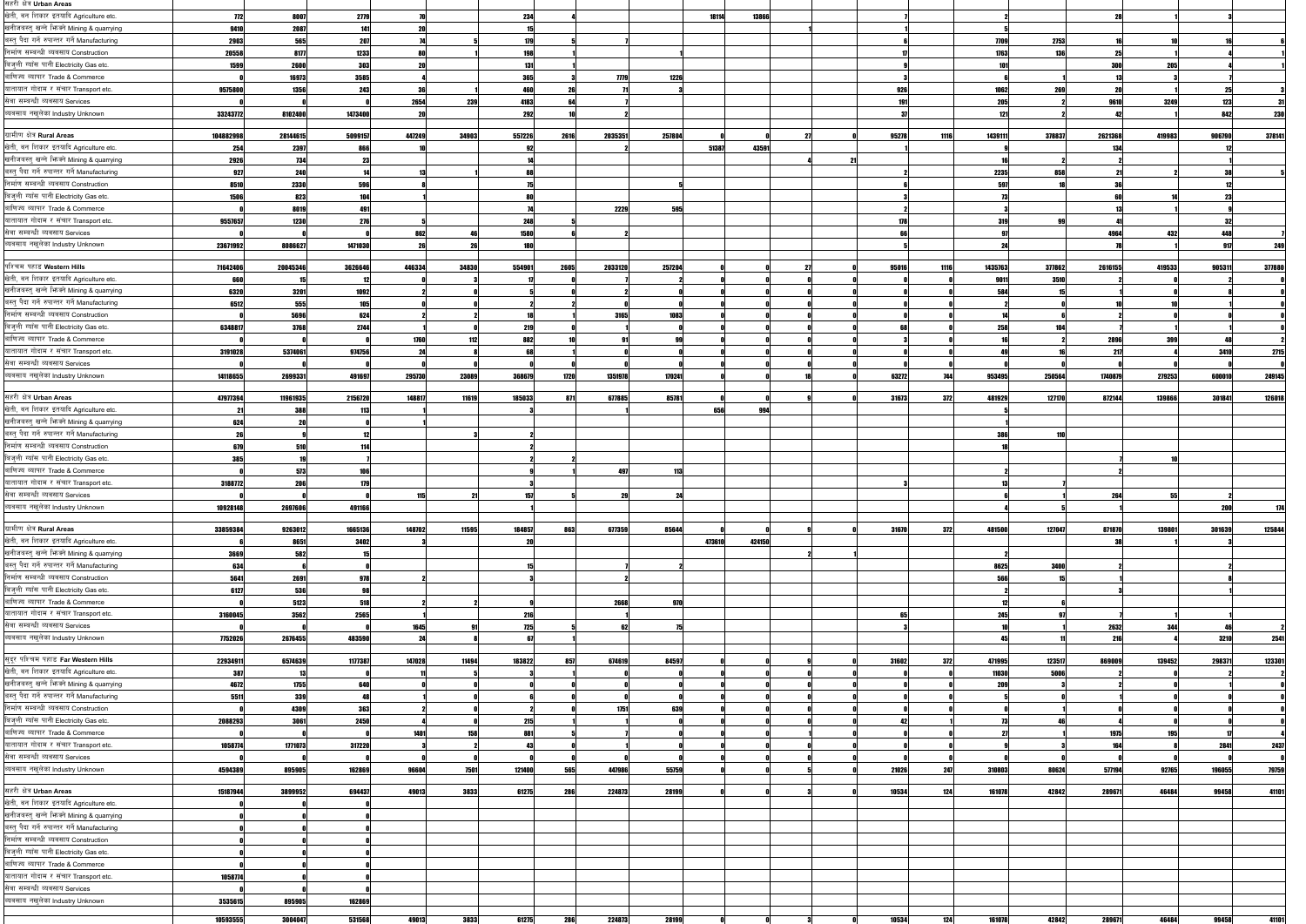| सहरी क्षेत्र Urban Areas                                                                                                                                                                                    |           |          |         |        |       |                |         |        |        |        |       |      |         |        |         |        |        |        |
|-------------------------------------------------------------------------------------------------------------------------------------------------------------------------------------------------------------|-----------|----------|---------|--------|-------|----------------|---------|--------|--------|--------|-------|------|---------|--------|---------|--------|--------|--------|
| खेती, वन शिकार इतयादि Agriculture etc.                                                                                                                                                                      | 772       | 8007     | 2779    |        |       | 234            |         |        | 18114  | 13866  |       |      |         |        |         |        |        |        |
| खनीजबस्तु खन्ने भिज्मे Mining & quarrying                                                                                                                                                                   | 9410      | 2087     | 141     |        |       |                |         |        |        |        |       |      |         |        |         |        |        |        |
| बस्त् पैदा गर्ने रुपान्तर गर्ने Manufacturing                                                                                                                                                               |           |          |         |        |       |                |         |        |        |        |       |      |         |        |         |        |        |        |
|                                                                                                                                                                                                             | 2903      | 565      | 207     |        |       | 179            |         |        |        |        |       |      | 7709    | 2753   |         |        |        |        |
| निर्माण सम्बन्धी ब्यवसाय Construction                                                                                                                                                                       | 20558     | 8177     | 1233    |        |       | 198            |         |        |        |        |       |      | 1763    | 131    |         |        |        |        |
| बिजुली ग्याँस पानी Electricity Gas etc.                                                                                                                                                                     | 1599      | 2600     | 303     |        |       | 131            |         |        |        |        |       |      |         |        |         | 205    |        |        |
| बाणिज्य ब्यापार Trade & Commerce                                                                                                                                                                            |           | 16973    | 3585    |        |       | 365            | 7779    | 1226   |        |        |       |      |         |        |         |        |        |        |
| यातायात गोदाम र संचार Transport etc.                                                                                                                                                                        | 9575800   | 1356     | 243     |        |       | 460            |         |        |        |        | 926   |      | 1062    | 269    |         |        |        |        |
| सेवा सम्बन्धी ब्यवसाय Services                                                                                                                                                                              |           |          |         | 2654   | 239   | 4183           |         |        |        |        |       |      | 205     |        | 9610    | 3249   | 123    |        |
|                                                                                                                                                                                                             |           |          |         |        |       |                |         |        |        |        |       |      |         |        |         |        |        |        |
| ब्यवसाय नखुलेका Industry Unknown                                                                                                                                                                            | 33243772  | 8102400  | 1473400 |        |       | 292            |         |        |        |        |       |      | 121     |        |         |        | 842    | 230    |
|                                                                                                                                                                                                             |           |          |         |        |       |                |         |        |        |        |       |      |         |        |         |        |        |        |
| ग्रामीण क्षेत्र Rural Areas                                                                                                                                                                                 | 104882998 | 28144615 | 5099157 | 447249 | 34903 | 557226<br>2616 | 2035351 | 257804 |        |        | 95278 | 1116 | 1439111 | 378837 | 2621368 | 419983 | 906790 | 378141 |
| खेती, वन शिकार इतयादि Agriculture etc.                                                                                                                                                                      | 254       | 2397     | 866     |        |       | -92            |         |        | 51387  | 43591  |       |      |         |        |         |        |        |        |
| खनीजबस्तु खन्ने भिज्ञ्ने Mining & quarrying                                                                                                                                                                 | 2926      | 734      |         |        |       |                |         |        |        |        |       |      |         |        |         |        |        |        |
| बस्त् पैदा गर्ने रुपान्तर गर्ने Manufacturing                                                                                                                                                               | 927       | 240      |         |        |       |                |         |        |        |        |       |      |         |        |         |        |        |        |
|                                                                                                                                                                                                             |           |          |         |        |       |                |         |        |        |        |       |      | 2235    | 858    |         |        |        |        |
| निर्माण सम्बन्धी ब्यवसाय Construction                                                                                                                                                                       | 8510      | 2330     | 596     |        |       |                |         |        |        |        |       |      | 597     |        |         |        |        |        |
| बिजुली ग्याँस पानी Electricity Gas etc.                                                                                                                                                                     | 1506      | 823      | 104     |        |       |                |         |        |        |        |       |      |         |        |         |        |        |        |
| बाणिज्य ब्यापार Trade & Commerce                                                                                                                                                                            |           | 8019     | 49      |        |       |                | 2229    | 595    |        |        |       |      |         |        |         |        |        |        |
| यातायात गोदाम र संचार Transport etc.                                                                                                                                                                        | 9557657   | 1230     | 276     |        |       | 248            |         |        |        |        | 178   |      | 319     |        |         |        |        |        |
| सेवा सम्बन्धी ब्यवसाय Services                                                                                                                                                                              |           |          |         | 862    |       | 1580           |         |        |        |        |       |      |         |        | 4964    | 432    | 44     |        |
|                                                                                                                                                                                                             |           |          |         |        |       |                |         |        |        |        |       |      |         |        |         |        |        |        |
| व्यवसाय नखलेका Industry Unknown                                                                                                                                                                             | 23671992  | 8086627  | 1471030 |        |       | 18             |         |        |        |        |       |      |         |        |         |        |        | 249    |
|                                                                                                                                                                                                             |           |          |         |        |       |                |         |        |        |        |       |      |         |        |         |        |        |        |
| पश्चिम पहाड Western Hills                                                                                                                                                                                   | 71642406  | 20045346 | 3626646 | 446334 | 34830 | 554901<br>2605 | 2033120 | 257204 |        |        | 95016 | 1116 | 1435763 | 377862 | 2616155 | 419533 | 905311 | 377880 |
| खेती, वन शिकार इतयादि Agriculture etc.                                                                                                                                                                      | 660       |          |         |        |       |                |         |        |        |        |       |      | 9011    | 3510   |         |        |        |        |
| खनीजबस्तु खन्ने भिज्म्ने Mining & quarrying                                                                                                                                                                 | 6320      | 3201     | 1092    |        |       |                |         |        |        |        |       |      | 584     |        |         |        |        |        |
| बस्तु पैदा गर्ने रुपान्तर गर्ने Manufacturing                                                                                                                                                               | 6512      | 555      | 105     |        |       |                |         |        |        |        |       |      |         |        |         |        |        |        |
| निर्माण सम्बन्धी ब्यवसाय Construction                                                                                                                                                                       |           |          |         |        |       |                |         |        |        |        |       |      |         |        |         |        |        |        |
|                                                                                                                                                                                                             |           | 5696     | 624     |        |       |                | 3165    | 1083   |        |        |       |      |         |        |         |        |        |        |
| बिज्ली ग्याँस पानी Electricity Gas etc.                                                                                                                                                                     | 6348817   | 3768     | 2744    |        |       | 219            |         |        |        |        |       |      | 258     |        |         |        |        |        |
| बाणिज्य ब्यापार Trade & Commerce                                                                                                                                                                            |           |          |         | 1760   |       | 882            |         |        |        |        |       |      |         |        | 2896    | 399    |        |        |
| यातायात गोदाम र संचार Transport etc.                                                                                                                                                                        | 3191028   | 5374061  | 974756  |        |       | 69             |         |        |        |        |       |      |         |        |         |        | 3410   | 2715   |
| सेवा सम्बन्धी ब्यवसाय Services                                                                                                                                                                              |           |          |         |        |       |                |         |        |        |        |       |      |         |        |         |        |        |        |
|                                                                                                                                                                                                             |           |          |         |        |       |                |         |        |        |        |       |      |         |        |         |        |        |        |
| ब्यवसाय नखुलेका Industry Unknown                                                                                                                                                                            | 14118655  | 2699331  | 491697  | 295730 | 23089 | 368679<br>1720 | 1351978 | 170241 |        |        | 63272 |      | 953495  | 250564 | 1740879 | 279253 | 600010 | 249145 |
|                                                                                                                                                                                                             |           |          |         |        |       |                |         |        |        |        |       |      |         |        |         |        |        |        |
| सहरी क्षेत्र Urban Areas                                                                                                                                                                                    | 47977394  | 11961935 | 2156720 | 148817 | 11619 | 185033<br>871  | 677885  | 85781  |        |        | 31673 | 372  | 481929  | 127170 | 872144  | 139866 | 301841 | 126018 |
| खेती, वन शिकार इतयादि Agriculture etc.                                                                                                                                                                      |           | 388      | 11.     |        |       |                |         |        | 656    | 994    |       |      |         |        |         |        |        |        |
| खनीजबस्तु खन्ने भिज्म्ने Mining & quarrying                                                                                                                                                                 | 624       |          |         |        |       |                |         |        |        |        |       |      |         |        |         |        |        |        |
| बस्तु पैदा गर्ने रुपान्तर गर्ने Manufacturing                                                                                                                                                               |           |          |         |        |       |                |         |        |        |        |       |      | 386     | 110    |         |        |        |        |
| निर्माण सम्बन्धी ब्यवसाय Construction                                                                                                                                                                       |           | 510      |         |        |       |                |         |        |        |        |       |      |         |        |         |        |        |        |
|                                                                                                                                                                                                             | 679       |          |         |        |       |                |         |        |        |        |       |      |         |        |         |        |        |        |
| बिज्ली ग्याँस पानी Electricity Gas etc.                                                                                                                                                                     | 385       |          |         |        |       |                |         |        |        |        |       |      |         |        |         |        |        |        |
|                                                                                                                                                                                                             |           |          |         |        |       |                |         |        |        |        |       |      |         |        |         |        |        |        |
| बाणिज्य ब्यापार Trade & Commerce                                                                                                                                                                            |           | 573      |         |        |       |                | 497     | 113    |        |        |       |      |         |        |         |        |        |        |
|                                                                                                                                                                                                             |           | 206      | 170     |        |       |                |         |        |        |        |       |      |         |        |         |        |        |        |
| यातायात गोदाम र संचार Transport etc.                                                                                                                                                                        | 3188772   |          |         |        |       |                |         |        |        |        |       |      |         |        |         |        |        |        |
| सेवा सम्बन्धी ब्यवसाय Services                                                                                                                                                                              |           |          |         | 115    |       | 157            | 291     |        |        |        |       |      |         |        | 264     |        |        |        |
| ब्यवसाय नखुलेका Industry Unknown                                                                                                                                                                            | 10928148  | 2697606  | 491166  |        |       |                |         |        |        |        |       |      |         |        |         |        |        |        |
|                                                                                                                                                                                                             |           |          |         |        |       |                |         |        |        |        |       |      |         |        |         |        |        | 174    |
|                                                                                                                                                                                                             | 33859384  | 9263012  | 1665136 | 148702 | 11595 | 184857<br>863  | 677359  | 85644  |        |        | 31670 | 372  | 481500  | 127047 | 871870  | 139801 | 301639 | 125844 |
| ग्रामीण क्षेत्र Rural Areas<br>खेती, वन शिकार इतयादि Agriculture etc.                                                                                                                                       |           | 8651     | 3402    |        |       |                |         |        | 473610 | 424150 |       |      |         |        |         |        |        |        |
| खनीजबस्तु खन्ने भिग्क्ने Mining & quarrying                                                                                                                                                                 | 3669      | 582      |         |        |       |                |         |        |        |        |       |      |         |        |         |        |        |        |
|                                                                                                                                                                                                             |           |          |         |        |       |                |         |        |        |        |       |      |         |        |         |        |        |        |
| बस्तु पैदा गर्ने रुपान्तर गर्ने Manufacturing                                                                                                                                                               | 634       |          |         |        |       |                |         |        |        |        |       |      | 8625    | 3400   |         |        |        |        |
| निर्माण सम्बन्धी ब्यवसाय Construction                                                                                                                                                                       | 5641      | 2691     | 978     |        |       |                |         |        |        |        |       |      | 566     |        |         |        |        |        |
| बिज्ली ग्याँस पानी Electricity Gas etc.                                                                                                                                                                     | 6127      | 536      |         |        |       |                |         |        |        |        |       |      |         |        |         |        |        |        |
| बाणिज्य ब्यापार Trade & Commerce                                                                                                                                                                            |           | 5123     | 518     |        |       |                | 2668    | 970    |        |        |       |      |         |        |         |        |        |        |
| यातायात गोदाम र संचार Transport etc.                                                                                                                                                                        | 3160045   | 3562     | 2565    |        |       | 216            |         |        |        |        |       |      | 245     |        |         |        |        |        |
|                                                                                                                                                                                                             |           |          |         | 1645   |       | 725            |         |        |        |        |       |      |         |        |         | 344    |        |        |
|                                                                                                                                                                                                             |           |          |         |        |       | 67             |         |        |        |        |       |      |         |        | 2632    |        |        |        |
|                                                                                                                                                                                                             | 7752026   | 2676455  | 483590  |        |       |                |         |        |        |        |       |      |         |        | 216     |        | 3210   |        |
| सेवा सम्बन्धी ब्यवसाय Services                                                                                                                                                                              |           |          |         |        |       |                |         |        |        |        |       |      |         |        |         |        |        | 2541   |
| व्यवसाय नखलेका Industry Unknown<br>सुदूर पश्चिम पहाड Far Western Hills                                                                                                                                      | 2293491   | 6574639  | 1177387 | 147028 | 11494 | 183822<br>857  | 674619  | 84597  |        |        | 31602 | 372  | 471995  | 123517 | 869009  | 139452 | 298371 |        |
| खेती, वन शिकार इतयादि Agriculture etc.                                                                                                                                                                      | 387       |          |         |        |       |                |         |        |        |        |       |      | 11030   | 5006   |         |        |        |        |
| खनीजबस्तु खन्ने भिज्ञ्ने Mining & quarrying                                                                                                                                                                 | 4672      | 1755     | 640     |        |       |                |         |        |        |        |       |      | 209     |        |         |        |        |        |
| बस्त् पैदा गर्ने रुपान्तर गर्ने Manufacturing                                                                                                                                                               | 5511      | 339      | 48      |        |       |                |         |        |        |        |       |      |         |        |         |        |        |        |
| निर्माण सम्बन्धी ब्यवसाय Construction                                                                                                                                                                       |           | 4309     | 363     |        |       |                | 1751    | 639    |        |        |       |      |         |        |         |        |        | 123301 |
|                                                                                                                                                                                                             |           |          |         |        |       |                |         |        |        |        |       |      |         |        |         |        |        |        |
|                                                                                                                                                                                                             | 2088293   | 3061     | 2450    |        |       | 215            |         |        |        |        |       |      |         |        |         |        |        |        |
| बाणिज्य ब्यापार Trade & Commerce                                                                                                                                                                            |           |          |         | 1401   | 158   | 881            |         |        |        |        |       |      |         |        | 1975    | 195    |        |        |
| यातायात गोदाम र संचार Transport etc.                                                                                                                                                                        | 1058774   | 1771073  | 317220  |        |       | 43             |         |        |        |        |       |      |         |        |         |        | 2841   | 2437   |
|                                                                                                                                                                                                             |           |          |         |        |       |                |         |        |        |        |       |      |         |        |         |        |        |        |
|                                                                                                                                                                                                             | 4594389   | 895905   | 162869  | 96604  | 7501  | 121400<br>565  | 447986  | 55759  |        |        | 21026 | 247  | 310803  | 80624  | 577194  | 92765  | 196055 |        |
| बिज्ली ग्याँस पानी Electricity Gas etc.<br>सेवा सम्बन्धी ब्यवसाय Services<br>ब्यवसाय नखलेका Industry Unknown                                                                                                |           |          |         |        |       |                |         |        |        |        |       |      |         |        |         |        |        |        |
|                                                                                                                                                                                                             |           |          |         |        |       |                |         |        |        |        |       | 124  |         |        |         |        |        | 79759  |
|                                                                                                                                                                                                             | 15187944  | 3899952  | 694437  | 49013  | 3833  | 61275<br>286   | 224873  | 28199  |        |        | 10534 |      | 161078  | 42842  | 289671  | 46484  | 99458  | 41101  |
|                                                                                                                                                                                                             |           |          |         |        |       |                |         |        |        |        |       |      |         |        |         |        |        |        |
|                                                                                                                                                                                                             |           |          |         |        |       |                |         |        |        |        |       |      |         |        |         |        |        |        |
|                                                                                                                                                                                                             |           |          |         |        |       |                |         |        |        |        |       |      |         |        |         |        |        |        |
|                                                                                                                                                                                                             |           |          |         |        |       |                |         |        |        |        |       |      |         |        |         |        |        |        |
| सहरी क्षेत्र Urban Areas<br>खेती, वन शिकार इतयादि Agriculture etc.<br>खनीजबस्तु खन्ने भिग्क्ने Mining & quarrying<br>बस्त् पैदा गर्ने रुपान्तर गर्ने Manufacturing<br>निर्माण सम्बन्धी ब्यवसाय Construction |           |          |         |        |       |                |         |        |        |        |       |      |         |        |         |        |        |        |
|                                                                                                                                                                                                             |           |          |         |        |       |                |         |        |        |        |       |      |         |        |         |        |        |        |
| बिजुली ग्याँस पानी Electricity Gas etc.<br>बाणिज्य ब्यापार Trade & Commerce                                                                                                                                 |           |          |         |        |       |                |         |        |        |        |       |      |         |        |         |        |        |        |
| यातायात गोदाम र संचार Transport etc.                                                                                                                                                                        | 1058774   |          |         |        |       |                |         |        |        |        |       |      |         |        |         |        |        |        |
| सेवा सम्बन्धी ब्यवसाय Services                                                                                                                                                                              |           |          |         |        |       |                |         |        |        |        |       |      |         |        |         |        |        |        |
| ब्यवसाय नखुलेका Industry Unknown                                                                                                                                                                            | 3535615   | 895905   | 162869  |        |       |                |         |        |        |        |       |      |         |        |         |        |        |        |
|                                                                                                                                                                                                             |           |          |         |        |       |                |         |        |        |        |       |      |         |        |         |        |        |        |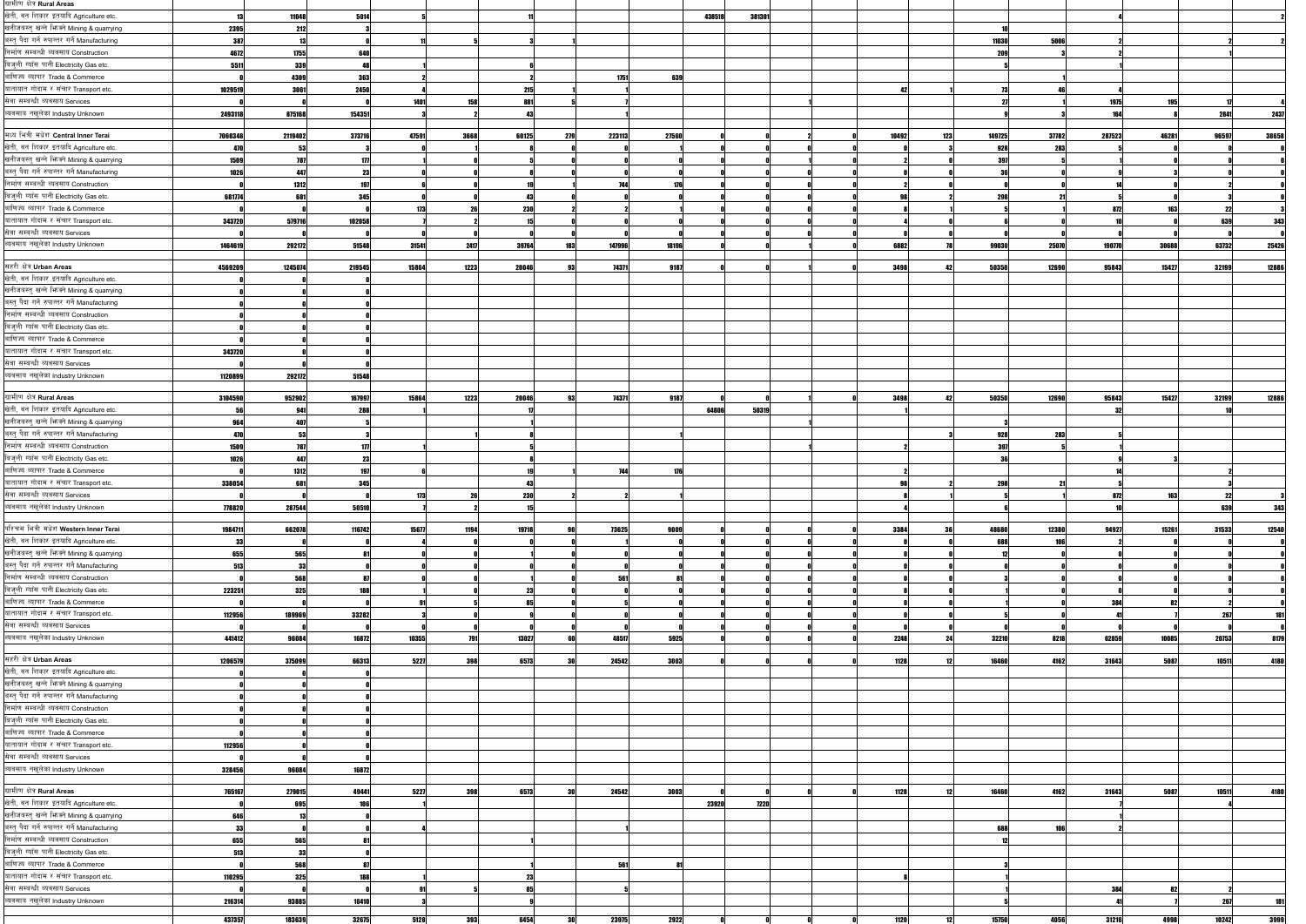| ग्रामीण क्षेत्र Rural Areas                   |         |         |        |               |             |                   |                  |              |        |       |        |       |       |       |
|-----------------------------------------------|---------|---------|--------|---------------|-------------|-------------------|------------------|--------------|--------|-------|--------|-------|-------|-------|
| खेती, वन शिकार इतयादि Agriculture etc.        |         | 11048   | 5014   |               |             |                   | 438518<br>381301 |              |        |       |        |       |       |       |
| खनीजबस्तु खन्ने भिज्मे Mining & quarrying     | 2395    | 212     |        |               |             |                   |                  |              |        |       |        |       |       |       |
| बस्तु पैदा गर्ने रुपान्तर गर्ने Manufacturing |         |         |        |               |             |                   |                  |              |        |       |        |       |       |       |
|                                               | 387     | 13      |        |               |             |                   |                  |              | 11030  | 5006  |        |       |       |       |
| निर्माण सम्बन्धी ब्यवसाय Construction         | 4672    | 1755    |        |               |             |                   |                  |              |        |       |        |       |       |       |
| बिजुली ग्याँस पानी Electricity Gas etc.       | 5511    | 339     |        |               |             |                   |                  |              |        |       |        |       |       |       |
| बाणिज्य ब्यापार Trade & Commerce              |         | 4309    | 363    |               |             | 1751              | 639              |              |        |       |        |       |       |       |
| यातायात गोदाम र संचार Transport etc.          | 1029519 | 3061    | 2450   |               | 215         |                   |                  |              |        |       |        |       |       |       |
| सेवा सम्बन्धी ब्यवसाय Services                |         |         |        | 1401<br>158   | 881         |                   |                  |              |        |       | 1975   | 195   |       |       |
|                                               |         |         |        |               | 43          |                   |                  |              |        |       | 164    |       |       |       |
| ब्यवसाय नखुलेका Industry Unknown              | 2493118 | 875168  | 154351 |               |             |                   |                  |              |        |       |        |       | 2841  | 2437  |
|                                               |         |         |        |               |             |                   |                  |              |        |       |        |       |       |       |
| मध्य भित्री मधेश Central Inner Terai          | 7060348 | 2119402 | 373716 | 47591<br>3668 | 60125<br>27 | 223113<br>27560   |                  | 10492<br>123 | 149725 | 37782 | 287523 | 46281 | 96597 | 38658 |
| खेती, वन शिकार इतयादि Agriculture etc.        | 470     | 53      |        |               |             |                   |                  |              | 928    | 283   |        |       |       |       |
| खनीजबस्तु खन्ने भिग्क्ने Mining & quarrying   | 1509    | 787     |        |               |             |                   |                  |              | 397    |       |        |       |       |       |
| बस्त् पैदा गर्ने रुपान्तर गर्ने Manufacturing | 1026    | 447     |        |               |             |                   |                  |              |        |       |        |       |       |       |
| निर्माण सम्बन्धी ब्यवसाय Construction         |         | 1312    |        |               |             |                   |                  |              |        |       |        |       |       |       |
| बिजुली ग्याँस पानी Electricity Gas etc.       |         |         |        |               |             |                   |                  |              |        |       |        |       |       |       |
|                                               | 681774  | 681     | 345    |               | 43          |                   |                  |              | 298    |       |        |       |       |       |
| बाणिज्य ब्यापार Trade & Commerce              |         |         |        | 173           | 230         |                   |                  |              |        |       | 872    | 163   |       |       |
| यातायात गोदाम र संचार Transport etc.          | 343720  | 579716  | 102058 |               |             |                   |                  |              |        |       |        |       | 639   | 343   |
| सेवा सम्बन्धी ब्यवसाय Services                |         |         |        |               |             |                   |                  |              |        |       |        |       |       |       |
| ब्यवसाय नखुलेका Industry Unknown              | 1464619 | 292172  | 51548  | 31541<br>2417 | 39764       | 147996<br>18196   |                  | 6882         | 99030  | 25070 | 190770 | 30688 | 63732 | 25426 |
|                                               |         |         |        |               |             |                   |                  |              |        |       |        |       |       |       |
| सहरी क्षेत्र Urban Areas                      | 4569209 | 1245074 | 219545 | 15864<br>1223 | 20046       | 74371<br>9187     |                  | 3498         | 50350  | 12690 | 95843  | 15427 | 32199 | 12886 |
| खेती, वन शिकार इतयादि Agriculture etc.        |         |         |        |               |             |                   |                  |              |        |       |        |       |       |       |
|                                               |         |         |        |               |             |                   |                  |              |        |       |        |       |       |       |
| खनीजबस्तु खन्ने भिन्न्ने Mining & quarrying   |         |         |        |               |             |                   |                  |              |        |       |        |       |       |       |
| बस्तु पैदा गर्ने रुपान्तर गर्ने Manufacturing |         |         |        |               |             |                   |                  |              |        |       |        |       |       |       |
| निर्माण सम्बन्धी ब्यवसाय Construction         |         |         |        |               |             |                   |                  |              |        |       |        |       |       |       |
| बिज्ली ग्याँस पानी Electricity Gas etc.       |         |         |        |               |             |                   |                  |              |        |       |        |       |       |       |
| बाणिज्य ब्यापार Trade & Commerce              |         |         |        |               |             |                   |                  |              |        |       |        |       |       |       |
| यातायात गोदाम र संचार Transport etc.          |         |         |        |               |             |                   |                  |              |        |       |        |       |       |       |
|                                               | 343720  |         |        |               |             |                   |                  |              |        |       |        |       |       |       |
| सेवा सम्बन्धी ब्यवसाय Services                |         |         |        |               |             |                   |                  |              |        |       |        |       |       |       |
| ब्यवसाय नखुलेका Industry Unknown              | 1120899 | 292172  | 51548  |               |             |                   |                  |              |        |       |        |       |       |       |
|                                               |         |         |        |               |             |                   |                  |              |        |       |        |       |       |       |
| ग्रामीण क्षेत्र Rural Areas                   | 3104590 | 952902  | 167997 | 15864<br>1223 | 20046       | 74371<br>9187     |                  | 3498         | 50350  | 12690 | 95843  | 15427 | 32199 | 12886 |
| खेती, वन शिकार इतयादि Agriculture etc.        |         | 941     | 288    |               |             |                   | 64806<br>50319   |              |        |       |        |       |       |       |
| खनीजबस्तु खन्ने फिक्ने Mining & quarrying     | 964     | 407     |        |               |             |                   |                  |              |        |       |        |       |       |       |
| बस्तु पैदा गर्ने रुपान्तर गर्ने Manufacturing | 470     |         |        |               |             |                   |                  |              |        | 283   |        |       |       |       |
|                                               |         |         |        |               |             |                   |                  |              | 928    |       |        |       |       |       |
| निर्माण सम्बन्धी ब्यवसाय Construction         | 1509    | 787     |        |               |             |                   |                  |              | 397    |       |        |       |       |       |
| बिज्ली ग्याँस पानी Electricity Gas etc.       | 1026    | 447     |        |               |             |                   |                  |              |        |       |        |       |       |       |
| बाणिज्य ब्यापार Trade & Commerce              |         | 1312    |        |               |             | <b>744</b><br>176 |                  |              |        |       |        |       |       |       |
| यातायात गोदाम र संचार Transport etc.          | 338054  | 681     | 345    |               |             |                   |                  |              | 298    | 21    |        |       |       |       |
| सेवा सम्बन्धी ब्यवसाय Services                |         |         |        | 173           | 230         |                   |                  |              |        |       | 872    | 1631  | -22   |       |
| ब्यवसाय नखुलेका Industry Unknown              |         |         |        |               |             |                   |                  |              |        |       |        |       |       |       |
|                                               | 778820  | 287544  | 50510  |               |             |                   |                  |              |        |       |        |       | 639   |       |
|                                               |         |         |        |               |             |                   |                  |              |        |       |        |       |       |       |
|                                               |         |         |        |               |             |                   |                  |              |        |       |        |       |       |       |
| पश्चिम भित्री मधेश Western Inner Terai        | 1984711 | 662078  | 116742 | 15677<br>1194 | 19718       | 73625<br>9009     |                  | 3384         | 48680  | 12380 | 94927  | 15261 | 31533 | 12540 |
| खेती, बन शिकार इतयादि Agriculture etc.        | -33     |         |        |               |             |                   |                  |              | 688    |       |        |       |       |       |
| खनीजबस्तु खन्ने भिज्ञ्ने Mining & quarrying   | 655     | 565     |        |               |             |                   |                  |              |        |       |        |       |       |       |
|                                               | 513     | 33      |        |               |             |                   |                  |              |        |       |        |       |       |       |
| बस्त् पैदा गर्ने रुपान्तर गर्ने Manufacturing |         |         |        |               |             |                   |                  |              |        |       |        |       |       |       |
| निर्माण सम्बन्धी ब्यवसाय Construction         |         | 568     |        |               |             | 561               |                  |              |        |       |        |       |       |       |
| बिज्ली ग्याँस पानी Electricity Gas etc.       | 223251  | 325     |        |               | 23          |                   |                  |              |        |       |        |       |       |       |
| बाणिज्य ब्यापार Trade & Commerce              |         |         |        |               | 85          |                   |                  |              |        |       | 384    |       |       |       |
| यातायात गोदाम र संचार Transport etc.          | 112956  | 189969  | 33282  |               |             |                   |                  |              |        |       |        |       | 267   |       |
| सेवा सम्बन्धी ब्यवसाय Services                |         |         |        |               |             |                   |                  |              |        |       |        |       |       |       |
| ब्यवसाय नखुलेका Industry Unknown              | 441412  | 96084   | 16872  | 10355         | 13027       | 48517<br>5925     |                  | 2248         | 32210  | 8218  | 62859  | 10085 | 20753 | 8179  |
|                                               |         |         |        |               |             |                   |                  |              |        |       |        |       |       |       |
|                                               | 1206579 | 375099  | 66313  | 5227<br>398   | 6573        | 24542<br>3003     |                  | 1128         | 16460  | 4162  | 31643  | 5087  | 10511 | 4180  |
| सहरी क्षेत्र Urban Areas                      |         |         |        |               |             |                   |                  |              |        |       |        |       |       |       |
| खेती, बन शिकार इतयादि Agriculture etc.        |         |         |        |               |             |                   |                  |              |        |       |        |       |       |       |
| खनीजबस्तु खन्ने भिज्मे Mining & quarrying     |         |         |        |               |             |                   |                  |              |        |       |        |       |       |       |
| बस्त् पैदा गर्ने रुपान्तर गर्ने Manufacturing |         |         |        |               |             |                   |                  |              |        |       |        |       |       |       |
| निर्माण सम्बन्धी ब्यवसाय Construction         |         |         |        |               |             |                   |                  |              |        |       |        |       |       |       |
| बिज्ली ग्याँस पानी Electricity Gas etc.       |         |         |        |               |             |                   |                  |              |        |       |        |       |       |       |
| बाणिज्य ब्यापार Trade & Commerce              |         |         |        |               |             |                   |                  |              |        |       |        |       |       |       |
|                                               |         |         |        |               |             |                   |                  |              |        |       |        |       |       |       |
| यातायात गोदाम र संचार Transport etc.          | 112956  |         |        |               |             |                   |                  |              |        |       |        |       |       |       |
| सेवा सम्बन्धी ब्यवसाय Services                |         |         |        |               |             |                   |                  |              |        |       |        |       |       |       |
| ब्यवसाय नखुलेका Industry Unknown              | 328456  | 96084   | 16872  |               |             |                   |                  |              |        |       |        |       |       |       |
|                                               |         |         |        |               |             |                   |                  |              |        |       |        |       |       |       |
| ग्रामीण क्षेत्र Rural Areas                   | 765167  | 279015  | 49441  | 5227<br>398   | 6573        | 24542<br>3003     |                  | 1128         | 16460  | 4162  | 31643  | 5087  | 10511 | 4180  |
| खेती, वन शिकार इतयादि Agriculture etc.        |         | 695     |        |               |             |                   | 23920<br>7220    |              |        |       |        |       |       |       |
| खनीजबस्तु खन्ने भिग्क्ने Mining & quarrying   | 646     |         |        |               |             |                   |                  |              |        |       |        |       |       |       |
|                                               | -33     |         |        |               |             |                   |                  |              |        | 106   |        |       |       |       |
| बस्त् पैदा गर्ने रुपान्तर गर्ने Manufacturing |         |         |        |               |             |                   |                  |              | 688    |       |        |       |       |       |
| निर्माण सम्बन्धी ब्यवसाय Construction         | 655     | 565     |        |               |             |                   |                  |              |        |       |        |       |       |       |
| बिजुली ग्याँस पानी Electricity Gas etc.       | 513     | 33      |        |               |             |                   |                  |              |        |       |        |       |       |       |
| बाणिज्य ब्यापार Trade & Commerce              |         | 568     |        |               |             | 561               |                  |              |        |       |        |       |       |       |
| यातायात गोदाम र संचार Transport etc.          | 110295  | 325     |        |               | 21          |                   |                  |              |        |       |        |       |       |       |
| सेवा सम्बन्धी ब्यवसाय Services                |         |         |        |               |             |                   |                  |              |        |       | 384    |       |       |       |
|                                               |         |         |        |               |             |                   |                  |              |        |       |        |       |       |       |
| ब्यवसाय नखुलेका Industry Unknown              | 216314  | 93885   | 16410  |               |             |                   |                  |              |        |       |        |       | 267   |       |